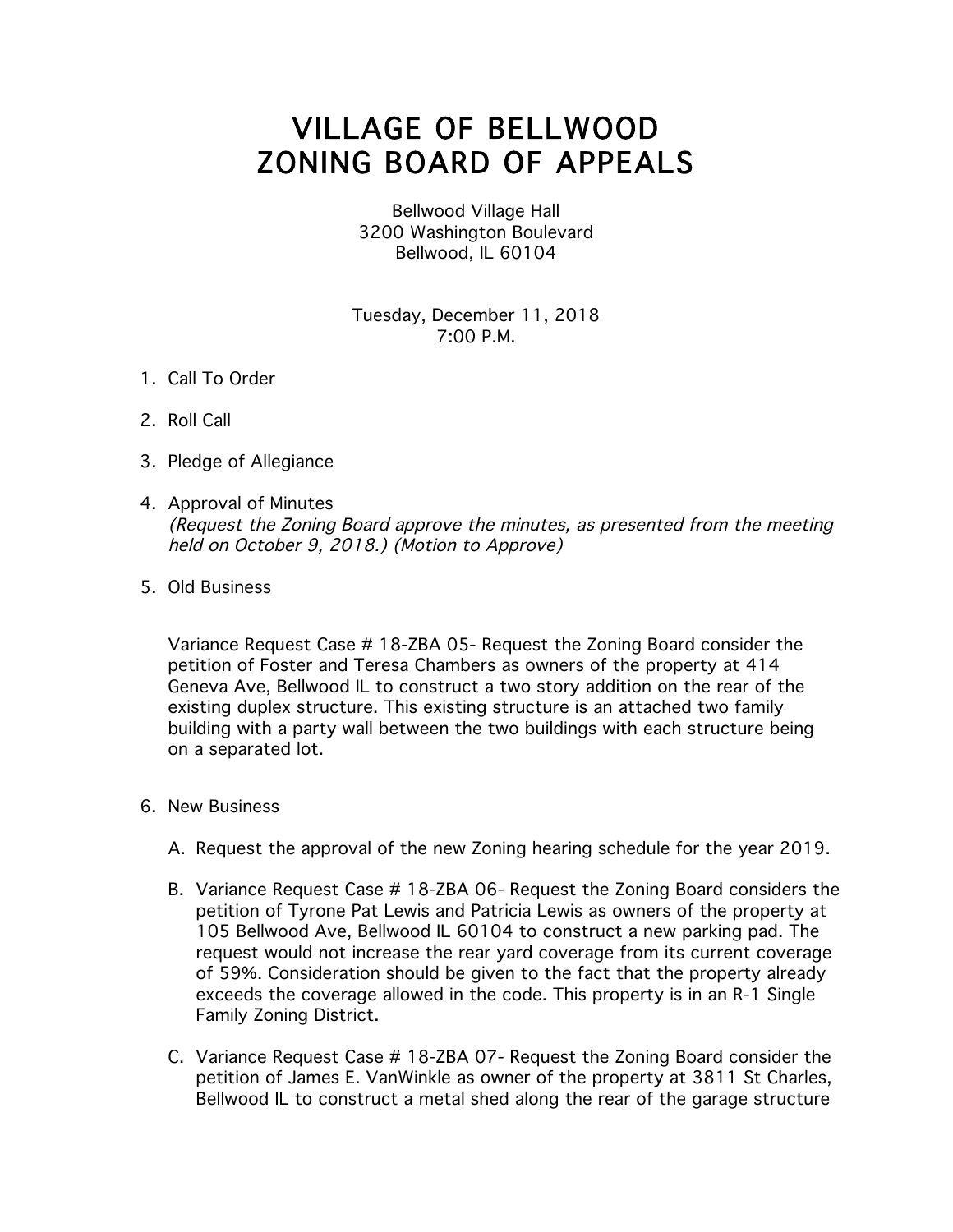## VILLAGE OF BELLWOOD ZONING BOARD OF APPEALS

Bellwood Village Hall 3200 Washington Boulevard Bellwood, IL 60104

Tuesday, December 11, 2018 7:00 P.M.

- 1. Call To Order
- 2. Roll Call
- 3. Pledge of Allegiance
- 4. Approval of Minutes (Request the Zoning Board approve the minutes, as presented from the meeting held on October 9, 2018.) (Motion to Approve)
- 5. Old Business

Variance Request Case # 18-ZBA 05- Request the Zoning Board consider the petition of Foster and Teresa Chambers as owners of the property at 414 Geneva Ave, Bellwood IL to construct a two story addition on the rear of the existing duplex structure. This existing structure is an attached two family building with a party wall between the two buildings with each structure being on a separated lot.

- 6. New Business
	- A. Request the approval of the new Zoning hearing schedule for the year 2019.
	- B. Variance Request Case # 18-ZBA 06- Request the Zoning Board considers the petition of Tyrone Pat Lewis and Patricia Lewis as owners of the property at 105 Bellwood Ave, Bellwood IL 60104 to construct a new parking pad. The request would not increase the rear yard coverage from its current coverage of 59%. Consideration should be given to the fact that the property already exceeds the coverage allowed in the code. This property is in an R-1 Single Family Zoning District.
	- C. Variance Request Case # 18-ZBA 07- Request the Zoning Board consider the petition of James E. VanWinkle as owner of the property at 3811 St Charles, Bellwood IL to construct a metal shed along the rear of the garage structure